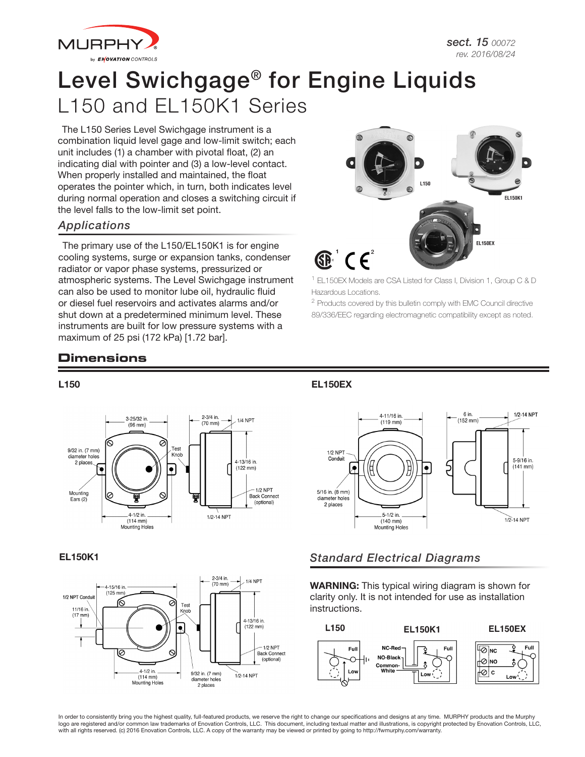

# Level Swichgage® for Engine Liquids L150 and EL150K1 Series

The L150 Series Level Swichgage instrument is a combination liquid level gage and low-limit switch; each unit includes (1) a chamber with pivotal float, (2) an indicating dial with pointer and (3) a low-level contact. When properly installed and maintained, the float operates the pointer which, in turn, both indicates level during normal operation and closes a switching circuit if the level falls to the low-limit set point.

#### *Applications*

The primary use of the L150/EL150K1 is for engine cooling systems, surge or expansion tanks, condenser radiator or vapor phase systems, pressurized or atmospheric systems. The Level Swichgage instrument can also be used to monitor lube oil, hydraulic fluid or diesel fuel reservoirs and activates alarms and/or shut down at a predetermined minimum level. These instruments are built for low pressure systems with a maximum of 25 psi (172 kPa) [1.72 bar].



<sup>1</sup> EL150EX Models are CSA Listed for Class I, Division 1, Group C & D Hazardous Locations.

<sup>2</sup> Products covered by this bulletin comply with EMC Council directive 89/336/EEC regarding electromagnetic compatibility except as noted.

# **Dimensions**

#### L150





#### EL150EX



## EL150K1 *Standard Electrical Diagrams*

WARNING: This typical wiring diagram is shown for clarity only. It is not intended for use as installation instructions.



In order to consistently bring you the highest quality, full-featured products, we reserve the right to change our specifications and designs at any time. MURPHY products and the Murphy logo are registered and/or common law trademarks of Enovation Controls, LLC. This document, including textual matter and illustrations, is copyright protected by Enovation Controls, LLC, with all rights reserved. (c) 2016 Enovation Controls, LLC. A copy of the warranty may be viewed or printed by going to http://fwmurphy.com/warranty.